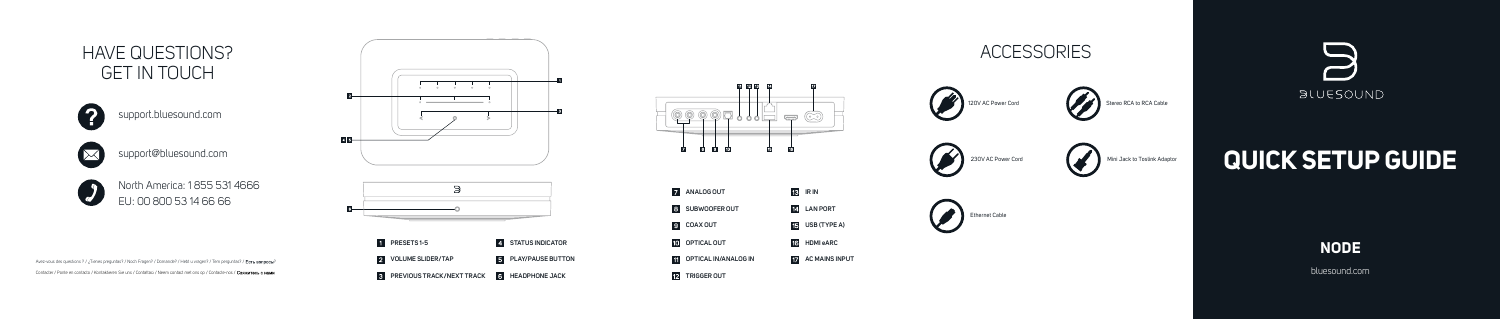bluesound.com



# **QUICK SETUP GUIDE**





Stereo RCA to RCA Cable





**Mini Jack to Toslink Adaptor** 







### **ACCESSORIES**





## HAVE QUESTIONS? GET IN TOUCH



#### support.bluesound.com



support@bluesound.com



North America: 1 855 531 4666 EU: 00 800 53 14 66 66

Avez-vous des questions ? / ¿Tienes preguntas? / Noch Fragen? / Domande? / Hebt u vragen? / Tem perguntas? / Есть вопросы? Contacter / Ponte en contacto / Kontaktieren Sie uns / Contattaci / Neem contact met ons op / Contacte-nos /